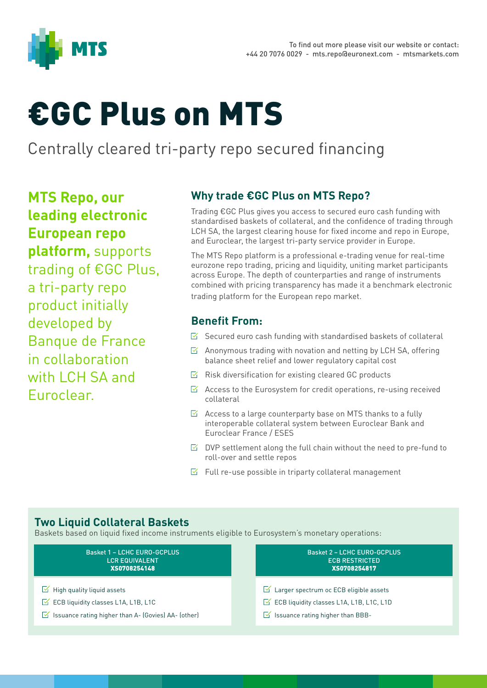

# €GC Plus on MTS

## Centrally cleared tri-party repo secured financing

**MTS Repo, our leading electronic European repo platform,** supports trading of €GC Plus, a tri-party repo product initially developed by Banque de France in collaboration with LCH SA and Euroclear.

### **Why trade €GC Plus on MTS Repo?**

Trading €GC Plus gives you access to secured euro cash funding with standardised baskets of collateral, and the confidence of trading through LCH SA, the largest clearing house for fixed income and repo in Europe, and Euroclear, the largest tri-party service provider in Europe.

The MTS Repo platform is a professional e-trading venue for real-time eurozone repo trading, pricing and liquidity, uniting market participants across Europe. The depth of counterparties and range of instruments combined with pricing transparency has made it a benchmark electronic trading platform for the European repo market.

#### **Benefit From:**

- $\triangleright$  Secured euro cash funding with standardised baskets of collateral
- $\boxtimes$  Anonymous trading with novation and netting by LCH SA, offering balance sheet relief and lower regulatory capital cost
- $\boxtimes$  Risk diversification for existing cleared GC products
- $\boxtimes$  Access to the Eurosystem for credit operations, re-using received collateral
- $\boxtimes$  Access to a large counterparty base on MTS thanks to a fully interoperable collateral system between Euroclear Bank and Euroclear France / ESES
- $\triangleright$  DVP settlement along the full chain without the need to pre-fund to roll-over and settle repos
- $\triangleright$  Full re-use possible in triparty collateral management

#### **Two Liquid Collateral Baskets**

Baskets based on liquid fixed income instruments eligible to Eurosystem's monetary operations:

| <b>Basket 1 - LCHC EURO-GCPLUS</b>                                   | <b>Basket 2 - LCHC EURO-GCPLUS</b>                        |
|----------------------------------------------------------------------|-----------------------------------------------------------|
| <b>LCR EQUIVALENT</b>                                                | <b>ECB RESTRICTED</b>                                     |
| XS0708254148                                                         | XS0708254817                                              |
| $\triangleright$ High quality liquid assets                          | $\leq$ Larger spectrum oc ECB eligible assets             |
| $\leq$ ECB liquidity classes L1A, L1B, L1C                           | $\triangleright$ ECB liquidity classes L1A, L1B, L1C, L1D |
| $\triangleright$ Issuance rating higher than A- (Govies) AA- (other) | $\leq$ Issuance rating higher than BBB-                   |
|                                                                      |                                                           |